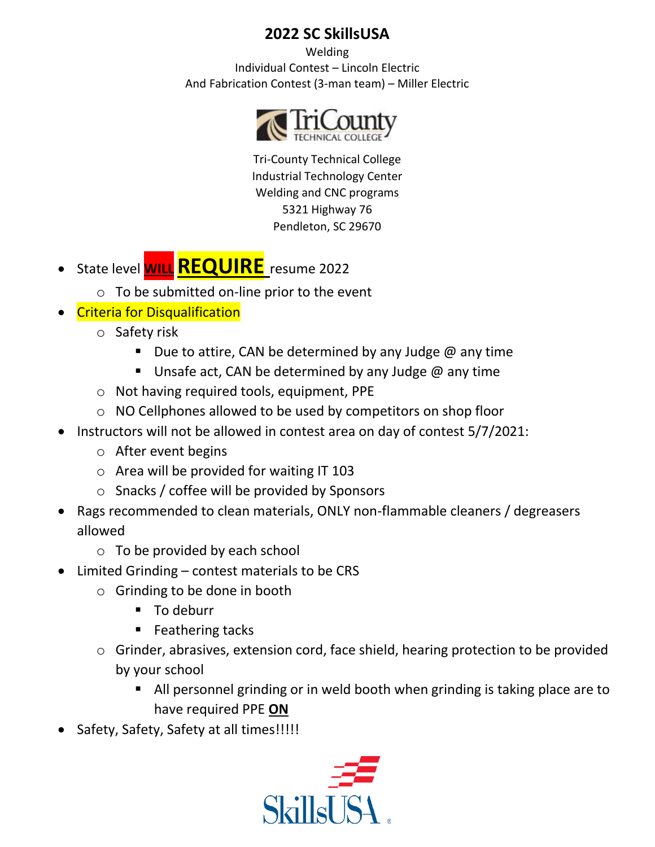Welding Individual Contest – Lincoln Electric And Fabrication Contest (3-man team) – Miller Electric



Tri-County Technical College Industrial Technology Center Welding and CNC programs 5321 Highway 76 Pendleton, SC 29670

- State level **WILLREQUIRE** resume <sup>2022</sup>
	- $\circ$  To be submitted on-line prior to the event
- Criteria for Disqualification
	- o Safety risk
		- **•** Due to attire, CAN be determined by any Judge  $@$  any time
		- **E** Unsafe act, CAN be determined by any Judge  $\omega$  any time
	- o Not having required tools, equipment, PPE
	- o NO Cellphones allowed to be used by competitors on shop floor
- Instructors will not be allowed in contest area on day of contest 5/7/2021:
	- o After event begins
	- o Area will be provided for waiting IT 103
	- o Snacks / coffee will be provided by Sponsors
- Rags recommended to clean materials, ONLY non-flammable cleaners / degreasers allowed
	- $\circ$  To be provided by each school
- Limited Grinding contest materials to be CRS
	- o Grinding to be done in booth
		- To deburr
		- Feathering tacks
	- o Grinder, abrasives, extension cord, face shield, hearing protection to be provided by your school
		- All personnel grinding or in weld booth when grinding is taking place are to have required PPE **ON**
- Safety, Safety, Safety at all times!!!!!

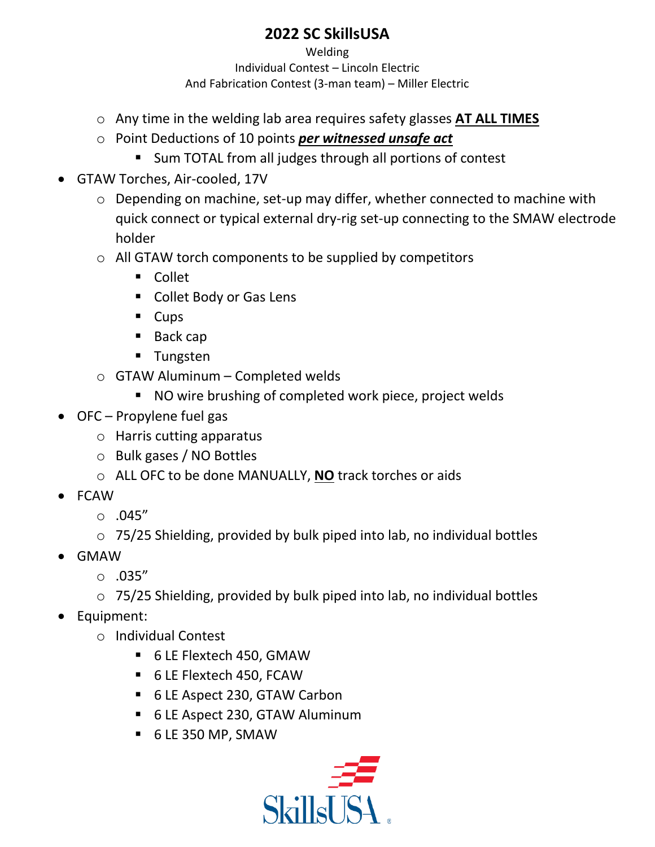Welding Individual Contest – Lincoln Electric And Fabrication Contest (3-man team) – Miller Electric

- o Any time in the welding lab area requires safety glasses **AT ALL TIMES**
- o Point Deductions of 10 points *per witnessed unsafe act*
	- Sum TOTAL from all judges through all portions of contest
- GTAW Torches, Air-cooled, 17V
	- o Depending on machine, set-up may differ, whether connected to machine with quick connect or typical external dry-rig set-up connecting to the SMAW electrode holder
	- o All GTAW torch components to be supplied by competitors
		- Collet
		- Collet Body or Gas Lens
		- Cups
		- Back cap
		- Tungsten
	- $\circ$  GTAW Aluminum Completed welds
		- NO wire brushing of completed work piece, project welds
- OFC Propylene fuel gas
	- o Harris cutting apparatus
	- o Bulk gases / NO Bottles
	- o ALL OFC to be done MANUALLY, **NO** track torches or aids
- FCAW
	- $\circ$  .045"
	- o 75/25 Shielding, provided by bulk piped into lab, no individual bottles
- GMAW
	- $\circ$  .035"
	- o 75/25 Shielding, provided by bulk piped into lab, no individual bottles
- Equipment:
	- o Individual Contest
		- 6 LE Flextech 450, GMAW
		- 6 LE Flextech 450, FCAW
		- 6 LE Aspect 230, GTAW Carbon
		- 6 LE Aspect 230, GTAW Aluminum
		- 6 LE 350 MP, SMAW

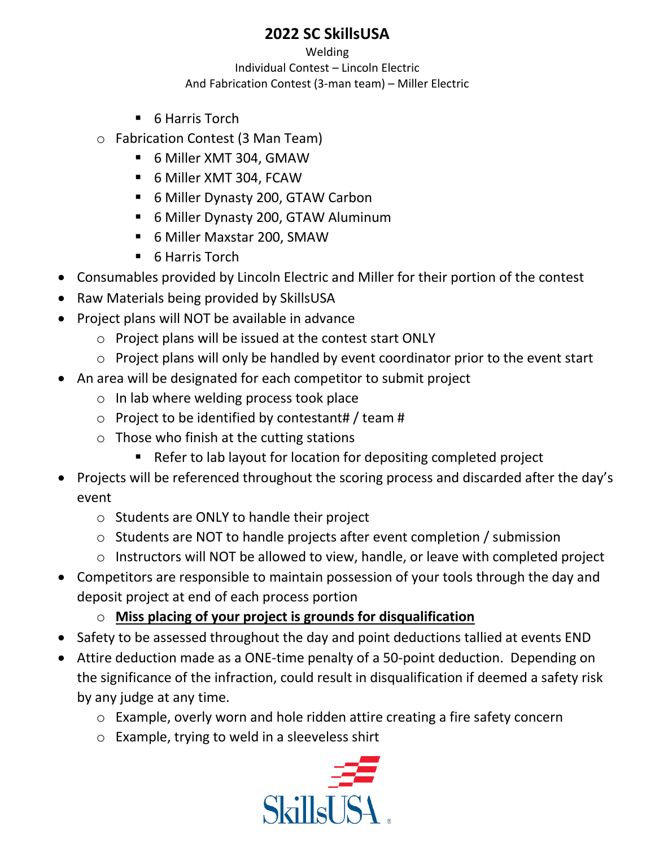Welding Individual Contest – Lincoln Electric And Fabrication Contest (3-man team) – Miller Electric

- 6 Harris Torch
- o Fabrication Contest (3 Man Team)
	- 6 Miller XMT 304, GMAW
	- 6 Miller XMT 304, FCAW
	- 6 Miller Dynasty 200, GTAW Carbon
	- 6 Miller Dynasty 200, GTAW Aluminum
	- 6 Miller Maxstar 200, SMAW
	- 6 Harris Torch
- Consumables provided by Lincoln Electric and Miller for their portion of the contest
- Raw Materials being provided by SkillsUSA
- Project plans will NOT be available in advance
	- o Project plans will be issued at the contest start ONLY
	- o Project plans will only be handled by event coordinator prior to the event start
- An area will be designated for each competitor to submit project
	- o In lab where welding process took place
	- $\circ$  Project to be identified by contestant# / team #
	- $\circ$  Those who finish at the cutting stations
		- Refer to lab layout for location for depositing completed project
- Projects will be referenced throughout the scoring process and discarded after the day's event
	- o Students are ONLY to handle their project
	- o Students are NOT to handle projects after event completion / submission
	- o Instructors will NOT be allowed to view, handle, or leave with completed project
- Competitors are responsible to maintain possession of your tools through the day and deposit project at end of each process portion
	- o **Miss placing of your project is grounds for disqualification**
- Safety to be assessed throughout the day and point deductions tallied at events END
- Attire deduction made as a ONE-time penalty of a 50-point deduction. Depending on the significance of the infraction, could result in disqualification if deemed a safety risk by any judge at any time.
	- o Example, overly worn and hole ridden attire creating a fire safety concern
	- o Example, trying to weld in a sleeveless shirt

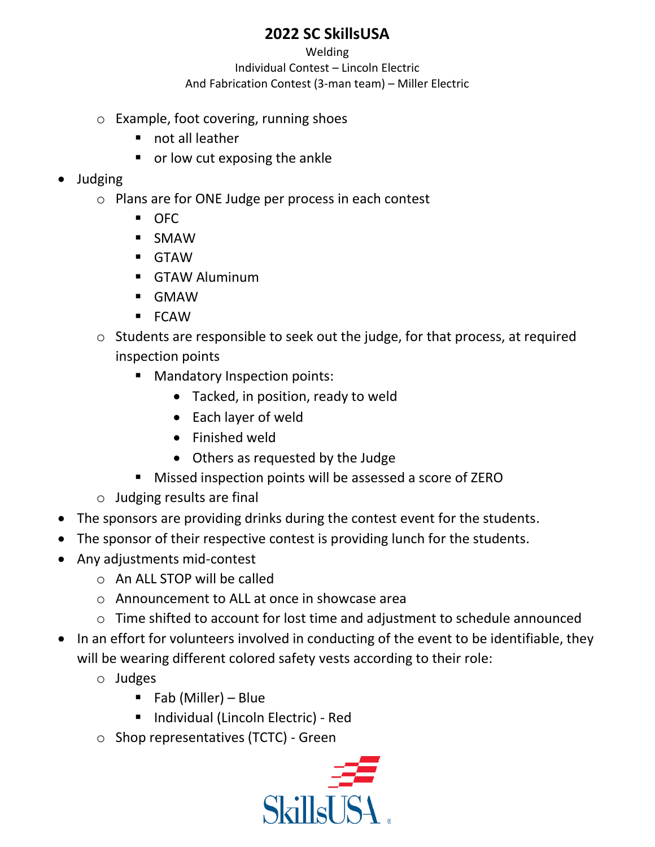Welding Individual Contest – Lincoln Electric And Fabrication Contest (3-man team) – Miller Electric

- o Example, foot covering, running shoes
	- not all leather
	- or low cut exposing the ankle

#### • Judging

- o Plans are for ONE Judge per process in each contest
	- OFC
	- SMAW
	- GTAW
	- **GTAW Aluminum**
	- GMAW
	- FCAW
- o Students are responsible to seek out the judge, for that process, at required inspection points
	- Mandatory Inspection points:
		- Tacked, in position, ready to weld
		- Each layer of weld
		- Finished weld
		- Others as requested by the Judge
	- Missed inspection points will be assessed a score of ZERO
- o Judging results are final
- The sponsors are providing drinks during the contest event for the students.
- The sponsor of their respective contest is providing lunch for the students.
- Any adjustments mid-contest
	- $\circ$  An ALL STOP will be called
	- o Announcement to ALL at once in showcase area
	- o Time shifted to account for lost time and adjustment to schedule announced
- In an effort for volunteers involved in conducting of the event to be identifiable, they will be wearing different colored safety vests according to their role:
	- o Judges
		- $\blacksquare$  Fab (Miller) Blue
		- Individual (Lincoln Electric) Red
	- o Shop representatives (TCTC) Green